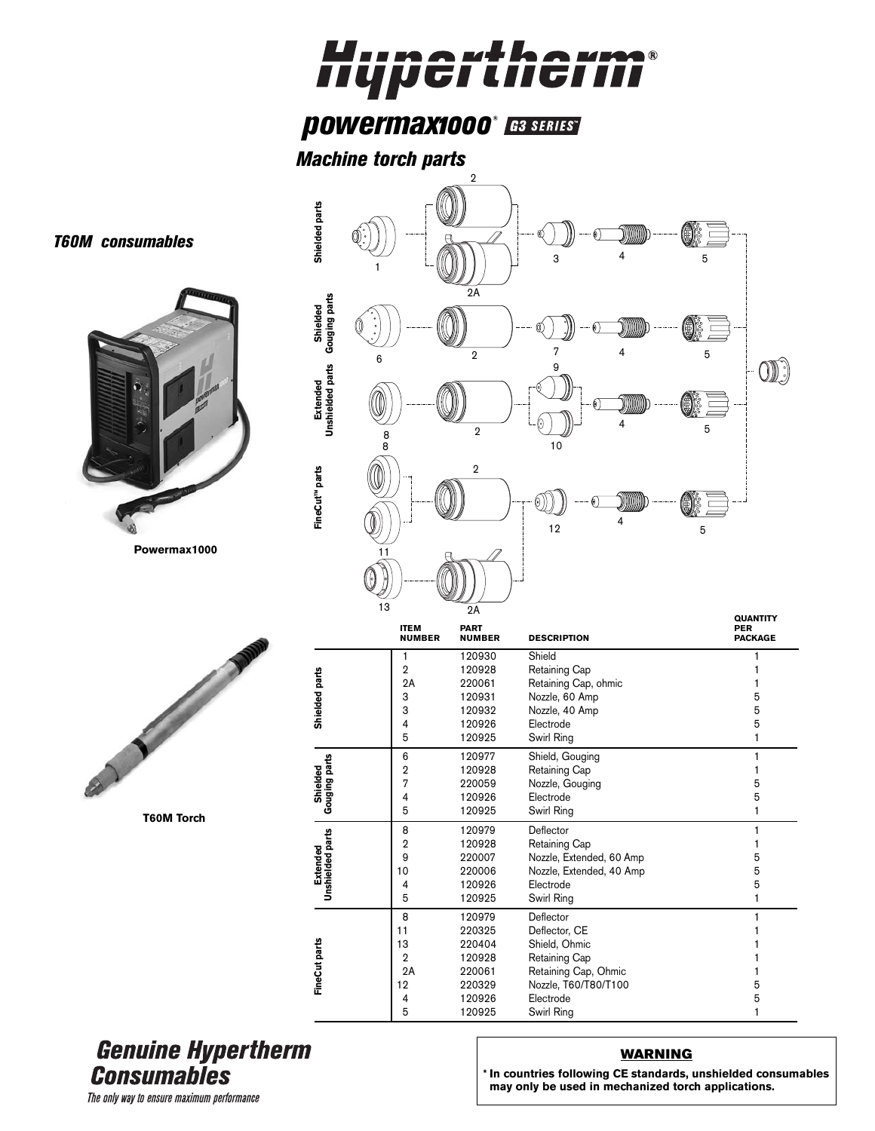## Hupertherm®

## **powermax1000® ES SERIES**

*Machine torch parts*



## **Genuine Hypertherm Consumables**

## **WARNING**

**\* In countries following CE standards, unshielded consumables may only be used in mechanized torch applications.**

The only way to ensure maximum performance